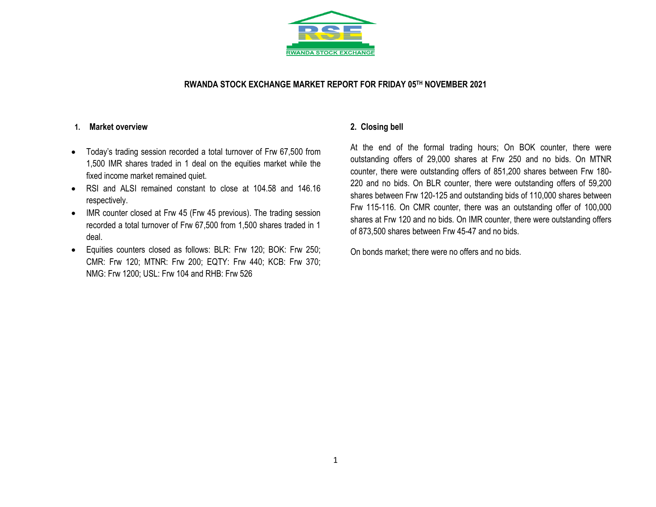

### **RWANDA STOCK EXCHANGE MARKET REPORT FOR FRIDAY 05 TH NOVEMBER 2021**

#### **1. Market overview**

- Today's trading session recorded a total turnover of Frw 67,500 from 1,500 IMR shares traded in 1 deal on the equities market while the fixed income market remained quiet.
- RSI and ALSI remained constant to close at 104.58 and 146.16 respectively.
- IMR counter closed at Frw 45 (Frw 45 previous). The trading session recorded a total turnover of Frw 67,500 from 1,500 shares traded in 1 deal.
- Equities counters closed as follows: BLR: Frw 120; BOK: Frw 250; CMR: Frw 120; MTNR: Frw 200; EQTY: Frw 440; KCB: Frw 370; NMG: Frw 1200; USL: Frw 104 and RHB: Frw 526

## **2. Closing bell**

At the end of the formal trading hours; On BOK counter, there were outstanding offers of 29,000 shares at Frw 250 and no bids. On MTNR counter, there were outstanding offers of 851,200 shares between Frw 180- 220 and no bids. On BLR counter, there were outstanding offers of 59,200 shares between Frw 120-125 and outstanding bids of 110,000 shares between Frw 115-116. On CMR counter, there was an outstanding offer of 100,000 shares at Frw 120 and no bids. On IMR counter, there were outstanding offers of 873,500 shares between Frw 45-47 and no bids.

On bonds market; there were no offers and no bids.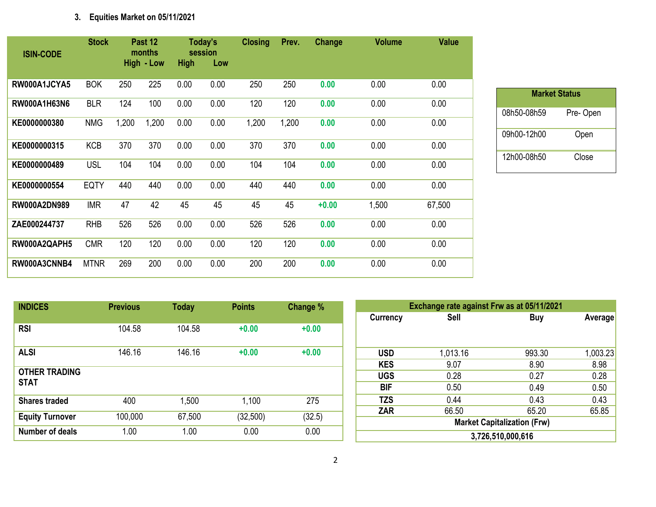# **3. Equities Market on 05/11/2021**

| <b>ISIN-CODE</b>    | <b>Stock</b> |       | Past 12<br>months<br>High - Low | <b>High</b> | Today's<br>session<br>Low | <b>Closing</b> | Prev. | Change  | <b>Volume</b> | <b>Value</b> |
|---------------------|--------------|-------|---------------------------------|-------------|---------------------------|----------------|-------|---------|---------------|--------------|
| RW000A1JCYA5        | <b>BOK</b>   | 250   | 225                             | 0.00        | 0.00                      | 250            | 250   | 0.00    | 0.00          | 0.00         |
| RW000A1H63N6        | <b>BLR</b>   | 124   | 100                             | 0.00        | 0.00                      | 120            | 120   | 0.00    | 0.00          | 0.00         |
| KE0000000380        | <b>NMG</b>   | 1,200 | 1,200                           | 0.00        | 0.00                      | 1,200          | 1,200 | 0.00    | 0.00          | 0.00         |
| KE0000000315        | <b>KCB</b>   | 370   | 370                             | 0.00        | 0.00                      | 370            | 370   | 0.00    | 0.00          | 0.00         |
| KE0000000489        | <b>USL</b>   | 104   | 104                             | 0.00        | 0.00                      | 104            | 104   | 0.00    | 0.00          | 0.00         |
| KE0000000554        | <b>EQTY</b>  | 440   | 440                             | 0.00        | 0.00                      | 440            | 440   | 0.00    | 0.00          | 0.00         |
| <b>RW000A2DN989</b> | <b>IMR</b>   | 47    | 42                              | 45          | 45                        | 45             | 45    | $+0.00$ | 1,500         | 67,500       |
| ZAE000244737        | <b>RHB</b>   | 526   | 526                             | 0.00        | 0.00                      | 526            | 526   | 0.00    | 0.00          | 0.00         |
| RW000A2QAPH5        | <b>CMR</b>   | 120   | 120                             | 0.00        | 0.00                      | 120            | 120   | 0.00    | 0.00          | 0.00         |
| RW000A3CNNB4        | <b>MTNR</b>  | 269   | 200                             | 0.00        | 0.00                      | 200            | 200   | 0.00    | 0.00          | 0.00         |

| <b>Market Status</b> |          |
|----------------------|----------|
| 08h50-08h59          | Pre-Open |
| 09h00-12h00          | Open     |
| 12h00-08h50          | Close    |

| <b>INDICES</b>                      | <b>Previous</b> | <b>Today</b> | <b>Points</b> | <b>Change %</b> |
|-------------------------------------|-----------------|--------------|---------------|-----------------|
| <b>RSI</b>                          | 104.58          | 104.58       | $+0.00$       | $+0.00$         |
| <b>ALSI</b>                         | 146.16          | 146.16       | $+0.00$       | $+0.00$         |
| <b>OTHER TRADING</b><br><b>STAT</b> |                 |              |               |                 |
| <b>Shares traded</b>                | 400             | 1,500        | 1,100         | 275             |
| <b>Equity Turnover</b>              | 100,000         | 67,500       | (32,500)      | (32.5)          |
| <b>Number of deals</b>              | 1.00            | 1.00         | 0.00          | 0.00            |

|                 | Exchange rate against Frw as at 05/11/2021 |        |          |  |  |  |  |  |
|-----------------|--------------------------------------------|--------|----------|--|--|--|--|--|
| <b>Currency</b> | Sell                                       | Buy    | Average  |  |  |  |  |  |
|                 |                                            |        |          |  |  |  |  |  |
| <b>USD</b>      | 1,013.16                                   | 993.30 | 1,003.23 |  |  |  |  |  |
| <b>KES</b>      | 9.07                                       | 8.90   | 8.98     |  |  |  |  |  |
| <b>UGS</b>      | 0.28                                       | 0.27   | 0.28     |  |  |  |  |  |
| BIF             | 0.50                                       | 0.49   | 0.50     |  |  |  |  |  |
| <b>TZS</b>      | 0.44                                       | 0.43   | 0.43     |  |  |  |  |  |
| <b>ZAR</b>      | 66.50                                      | 65.20  | 65.85    |  |  |  |  |  |
|                 | <b>Market Capitalization (Frw)</b>         |        |          |  |  |  |  |  |
|                 | 3,726,510,000,616                          |        |          |  |  |  |  |  |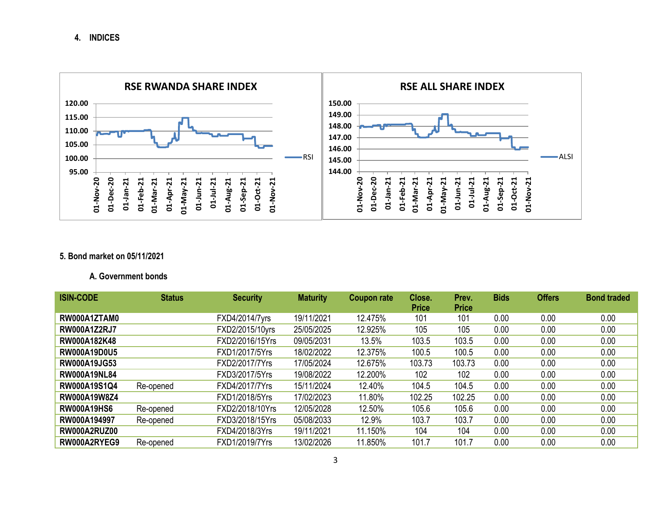**4. INDICES**



# **5. Bond market on 05/11/2021**

## **A. Government bonds**

| <b>ISIN-CODE</b>    | <b>Status</b> | <b>Security</b> | <b>Maturity</b> | <b>Coupon rate</b> | Close.       | Prev.        | <b>Bids</b> | <b>Offers</b> | <b>Bond traded</b> |
|---------------------|---------------|-----------------|-----------------|--------------------|--------------|--------------|-------------|---------------|--------------------|
|                     |               |                 |                 |                    | <b>Price</b> | <b>Price</b> |             |               |                    |
| RW000A1ZTAM0        |               | FXD4/2014/7yrs  | 19/11/2021      | 12.475%            | 101          | 101          | 0.00        | 0.00          | 0.00               |
| <b>RW000A1Z2RJ7</b> |               | FXD2/2015/10yrs | 25/05/2025      | 12.925%            | 105          | 105          | 0.00        | 0.00          | 0.00               |
| RW000A182K48        |               | FXD2/2016/15Yrs | 09/05/2031      | 13.5%              | 103.5        | 103.5        | 0.00        | 0.00          | 0.00               |
| <b>RW000A19D0U5</b> |               | FXD1/2017/5Yrs  | 18/02/2022      | 12.375%            | 100.5        | 100.5        | 0.00        | 0.00          | 0.00               |
| <b>RW000A19JG53</b> |               | FXD2/2017/7Yrs  | 17/05/2024      | 12.675%            | 103.73       | 103.73       | 0.00        | 0.00          | 0.00               |
| <b>RW000A19NL84</b> |               | FXD3/2017/5Yrs  | 19/08/2022      | 12.200%            | 102          | 102          | 0.00        | 0.00          | 0.00               |
| RW000A19S1Q4        | Re-opened     | FXD4/2017/7Yrs  | 15/11/2024      | 12.40%             | 104.5        | 104.5        | 0.00        | 0.00          | 0.00               |
| <b>RW000A19W8Z4</b> |               | FXD1/2018/5Yrs  | 17/02/2023      | 11.80%             | 102.25       | 102.25       | 0.00        | 0.00          | 0.00               |
| <b>RW000A19HS6</b>  | Re-opened     | FXD2/2018/10Yrs | 12/05/2028      | 12.50%             | 105.6        | 105.6        | 0.00        | 0.00          | 0.00               |
| RW000A194997        | Re-opened     | FXD3/2018/15Yrs | 05/08/2033      | 12.9%              | 103.7        | 103.7        | 0.00        | 0.00          | 0.00               |
| RW000A2RUZ00        |               | FXD4/2018/3Yrs  | 19/11/2021      | 11.150%            | 104          | 104          | 0.00        | 0.00          | 0.00               |
| RW000A2RYEG9        | Re-opened     | FXD1/2019/7Yrs  | 13/02/2026      | 11.850%            | 101.7        | 101.7        | 0.00        | 0.00          | 0.00               |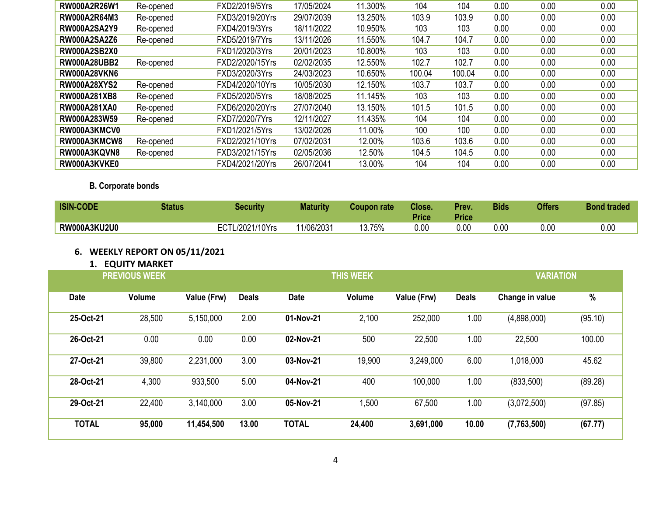| RW000A2R26W1        | Re-opened | FXD2/2019/5Yrs  | 17/05/2024 | 11.300% | 104    | 104    | 0.00 | 0.00 | 0.00 |
|---------------------|-----------|-----------------|------------|---------|--------|--------|------|------|------|
| <b>RW000A2R64M3</b> | Re-opened | FXD3/2019/20Yrs | 29/07/2039 | 13.250% | 103.9  | 103.9  | 0.00 | 0.00 | 0.00 |
| <b>RW000A2SA2Y9</b> | Re-opened | FXD4/2019/3Yrs  | 18/11/2022 | 10.950% | 103    | 103    | 0.00 | 0.00 | 0.00 |
| <b>RW000A2SA2Z6</b> | Re-opened | FXD5/2019/7Yrs  | 13/11/2026 | 11.550% | 104.7  | 104.7  | 0.00 | 0.00 | 0.00 |
| <b>RW000A2SB2X0</b> |           | FXD1/2020/3Yrs  | 20/01/2023 | 10.800% | 103    | 103    | 0.00 | 0.00 | 0.00 |
| <b>RW000A28UBB2</b> | Re-opened | FXD2/2020/15Yrs | 02/02/2035 | 12.550% | 102.7  | 102.7  | 0.00 | 0.00 | 0.00 |
| <b>RW000A28VKN6</b> |           | FXD3/2020/3Yrs  | 24/03/2023 | 10.650% | 100.04 | 100.04 | 0.00 | 0.00 | 0.00 |
| <b>RW000A28XYS2</b> | Re-opened | FXD4/2020/10Yrs | 10/05/2030 | 12.150% | 103.7  | 103.7  | 0.00 | 0.00 | 0.00 |
| <b>RW000A281XB8</b> | Re-opened | FXD5/2020/5Yrs  | 18/08/2025 | 11.145% | 103    | 103    | 0.00 | 0.00 | 0.00 |
| <b>RW000A281XA0</b> | Re-opened | FXD6/2020/20Yrs | 27/07/2040 | 13.150% | 101.5  | 101.5  | 0.00 | 0.00 | 0.00 |
| RW000A283W59        | Re-opened | FXD7/2020/7Yrs  | 12/11/2027 | 11.435% | 104    | 104    | 0.00 | 0.00 | 0.00 |
| RW000A3KMCV0        |           | FXD1/2021/5Yrs  | 13/02/2026 | 11.00%  | 100    | 100    | 0.00 | 0.00 | 0.00 |
| RW000A3KMCW8        | Re-opened | FXD2/2021/10Yrs | 07/02/2031 | 12.00%  | 103.6  | 103.6  | 0.00 | 0.00 | 0.00 |
| RW000A3KQVN8        | Re-opened | FXD3/2021/15Yrs | 02/05/2036 | 12.50%  | 104.5  | 104.5  | 0.00 | 0.00 | 0.00 |
| RW000A3KVKE0        |           | FXD4/2021/20Yrs | 26/07/2041 | 13.00%  | 104    | 104    | 0.00 | 0.00 | 0.00 |

**B. Corporate bonds** 

| <b>ISIN-CODE</b>    | Status | Security        | <b>Maturity</b> | Coupon rate | Close.<br><b>Price</b> | Prev.<br>Price | Bids | <b>Offers</b> | <b>Bond traded</b> |
|---------------------|--------|-----------------|-----------------|-------------|------------------------|----------------|------|---------------|--------------------|
| <b>RW000A3KU2U0</b> |        | ECTL/2021/10Yrs | 11/06/2031      | 13.75%      | 0.00                   | 0.00           | 0.00 | 0.00          | 0.00               |

# **6. WEEKLY REPORT ON 05/11/2021**

# **1. EQUITY MARKET**

| <b>PREVIOUS WEEK</b> |        |             |              | <b>THIS WEEK</b> |        |             |              |                 | <b>VARIATION</b> |  |
|----------------------|--------|-------------|--------------|------------------|--------|-------------|--------------|-----------------|------------------|--|
| <b>Date</b>          | Volume | Value (Frw) | <b>Deals</b> | <b>Date</b>      | Volume | Value (Frw) | <b>Deals</b> | Change in value | $\%$             |  |
| 25-Oct-21            | 28,500 | 5,150,000   | 2.00         | 01-Nov-21        | 2,100  | 252,000     | 1.00         | (4,898,000)     | (95.10)          |  |
| 26-Oct-21            | 0.00   | 0.00        | 0.00         | 02-Nov-21        | 500    | 22,500      | 1.00         | 22,500          | 100.00           |  |
| 27-Oct-21            | 39,800 | 2,231,000   | 3.00         | 03-Nov-21        | 19,900 | 3,249,000   | 6.00         | 1,018,000       | 45.62            |  |
| 28-Oct-21            | 4,300  | 933,500     | 5.00         | 04-Nov-21        | 400    | 100,000     | 1.00         | (833,500)       | (89.28)          |  |
| 29-Oct-21            | 22,400 | 3,140,000   | 3.00         | 05-Nov-21        | ,500   | 67,500      | 1.00         | (3,072,500)     | (97.85)          |  |
| <b>TOTAL</b>         | 95,000 | 11,454,500  | 13.00        | <b>TOTAL</b>     | 24,400 | 3,691,000   | 10.00        | (7,763,500)     | (67.77)          |  |